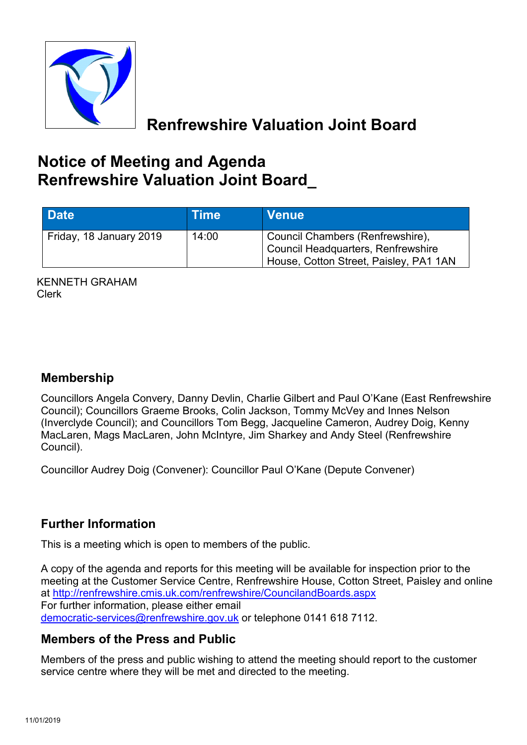

**Renfrewshire Valuation Joint Board**

# **Notice of Meeting and Agenda Renfrewshire Valuation Joint Board\_**

| Date <sup>1</sup>       | <b>Time</b> | <b>Venue</b>                                                                                                     |
|-------------------------|-------------|------------------------------------------------------------------------------------------------------------------|
| Friday, 18 January 2019 | 14:00       | Council Chambers (Renfrewshire),<br>Council Headquarters, Renfrewshire<br>House, Cotton Street, Paisley, PA1 1AN |

KENNETH GRAHAM Clerk

## **Membership**

Councillors Angela Convery, Danny Devlin, Charlie Gilbert and Paul O'Kane (East Renfrewshire Council); Councillors Graeme Brooks, Colin Jackson, Tommy McVey and Innes Nelson (Inverclyde Council); and Councillors Tom Begg, Jacqueline Cameron, Audrey Doig, Kenny MacLaren, Mags MacLaren, John McIntyre, Jim Sharkey and Andy Steel (Renfrewshire Council).

Councillor Audrey Doig (Convener): Councillor Paul O'Kane (Depute Convener)

## **Further Information**

This is a meeting which is open to members of the public.

A copy of the agenda and reports for this meeting will be available for inspection prior to the meeting at the Customer Service Centre, Renfrewshire House, Cotton Street, Paisley and online at <http://renfrewshire.cmis.uk.com/renfrewshire/CouncilandBoards.aspx> For further information, please either email [democratic-services@renfrewshire.gov.uk](mailto:democratic-services@renfrewshire.gov.uk) or telephone 0141 618 7112.

### **Members of the Press and Public**

Members of the press and public wishing to attend the meeting should report to the customer service centre where they will be met and directed to the meeting.